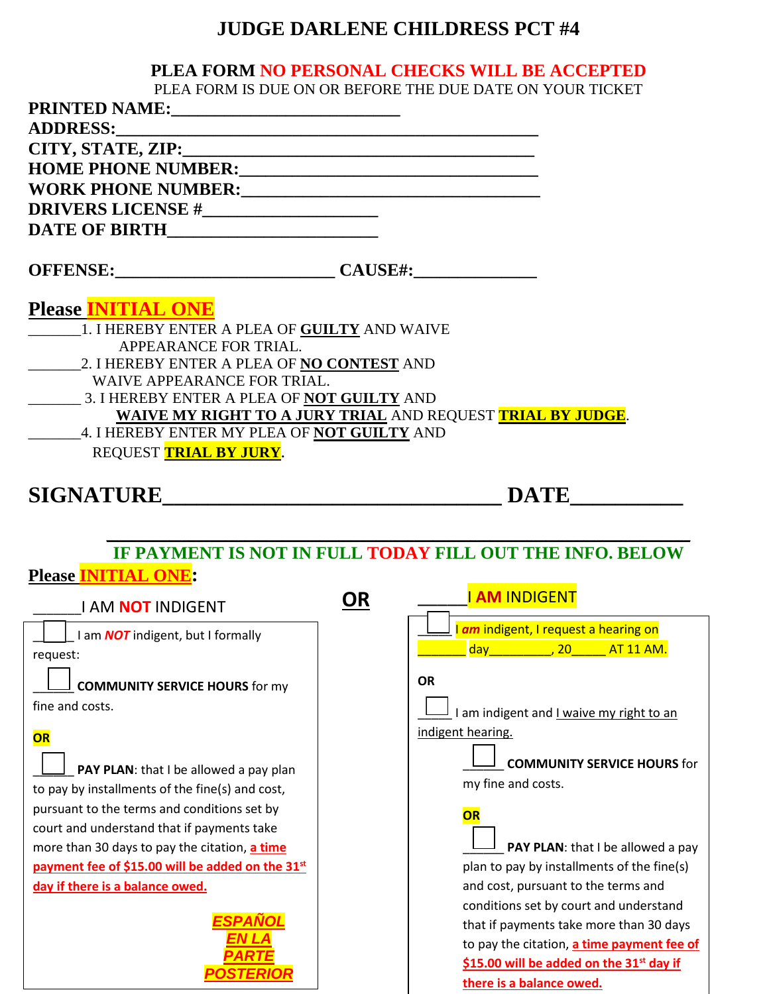## **JUDGE DARLENE CHILDRESS PCT #4**

## **PLEA FORM NO PERSONAL CHECKS WILL BE ACCEPTED**

PLEA FORM IS DUE ON OR BEFORE THE DUE DATE ON YOUR TICKET

| I LEAT ONM IS DOL ON ON BLI ONL THE DOL DATE                                                                                                                                                                                   |    |                                                                                |
|--------------------------------------------------------------------------------------------------------------------------------------------------------------------------------------------------------------------------------|----|--------------------------------------------------------------------------------|
| ADDRESS: North Contract of the Contract of the Contract of the Contract of the Contract of the Contract of the Contract of the Contract of the Contract of the Contract of the Contract of the Contract of the Contract of the |    |                                                                                |
|                                                                                                                                                                                                                                |    |                                                                                |
| HOME PHONE NUMBER:<br><u> </u>                                                                                                                                                                                                 |    |                                                                                |
|                                                                                                                                                                                                                                |    |                                                                                |
|                                                                                                                                                                                                                                |    |                                                                                |
|                                                                                                                                                                                                                                |    |                                                                                |
| OFFENSE: CAUSE#:                                                                                                                                                                                                               |    |                                                                                |
| <b>Please INITIAL ONE</b><br>1. I HEREBY ENTER A PLEA OF GUILTY AND WAIVE<br>APPEARANCE FOR TRIAL.<br>WAIVE APPEARANCE FOR TRIAL.<br>3. I HEREBY ENTER A PLEA OF NOT GUILTY AND                                                |    | WAIVE MY RIGHT TO A JURY TRIAL AND REQUEST TRIAL BY JUDGE.                     |
| 4. I HEREBY ENTER MY PLEA OF NOT GUILTY AND<br>REQUEST TRIAL BY JURY.                                                                                                                                                          |    |                                                                                |
| SIGNATURE                                                                                                                                                                                                                      |    | <b>DATE</b>                                                                    |
| <b>Please INITIAL ONE:</b>                                                                                                                                                                                                     |    | IF PAYMENT IS NOT IN FULL TODAY FILL OUT THE INFO. BELOW                       |
| <b>I AM NOT INDIGENT</b>                                                                                                                                                                                                       | OR | <b>I AM INDIGENT</b>                                                           |
| I am <b>NOT</b> indigent, but I formally<br>request:                                                                                                                                                                           |    | I am indigent, I request a hearing on<br>day_____________, 20_______ AT 11 AM. |
| <b>COMMUNITY SERVICE HOURS for my</b><br>fine and costs.                                                                                                                                                                       |    | <b>OR</b><br>I am indigent and I waive my right to an                          |
| OR                                                                                                                                                                                                                             |    | indigent hearing.                                                              |
| PAY PLAN: that I be allowed a pay plan                                                                                                                                                                                         |    | <b>COMMUNITY SERVICE HOURS for</b>                                             |
| to pay by installments of the fine(s) and cost,                                                                                                                                                                                |    | my fine and costs.                                                             |
| pursuant to the terms and conditions set by                                                                                                                                                                                    |    | OR                                                                             |
| court and understand that if payments take                                                                                                                                                                                     |    |                                                                                |
| more than 30 days to pay the citation, a time                                                                                                                                                                                  |    | PAY PLAN: that I be allowed a pay                                              |
| payment fee of \$15.00 will be added on the 31st                                                                                                                                                                               |    | plan to pay by installments of the fine(s)                                     |
| day if there is a balance owed.                                                                                                                                                                                                |    | and cost, pursuant to the terms and                                            |
|                                                                                                                                                                                                                                |    | conditions set by court and understand                                         |
|                                                                                                                                                                                                                                |    | that if payments take more than 30 days                                        |
|                                                                                                                                                                                                                                |    | to pay the citation, a time payment fee of                                     |
|                                                                                                                                                                                                                                |    | \$15.00 will be added on the 31 <sup>st</sup> day if                           |
|                                                                                                                                                                                                                                |    | there is a balance owed.                                                       |